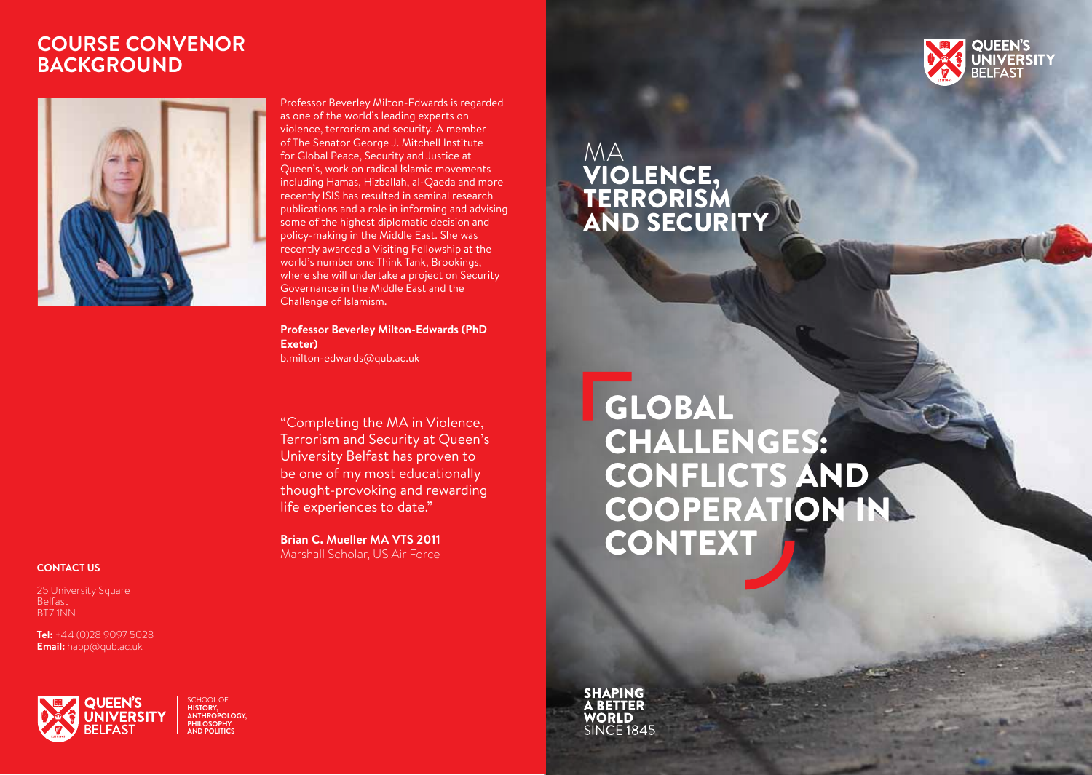### **COURSE CONVENOR BACKGROUND**



Professor Beverley Milton-Edwards is regarded as one of the world's leading experts on violence, terrorism and security. A member of The Senator George J. Mitchell Institute for Global Peace, Security and Justice at Queen's, work on radical Islamic movements including Hamas, Hizballah, al-Qaeda and more recently ISIS has resulted in seminal research publications and a role in informing and advising some of the highest diplomatic decision and policy-making in the Middle East. She was recently awarded a Visiting Fellowship at the world's number one Think Tank, Brookings, where she will undertake a project on Security Governance in the Middle East and the Challenge of Islamism.

**Professor Beverley Milton-Edwards (PhD Exeter)**

b.milton-edwards@qub.ac.uk

"Completing the MA in Violence, Terrorism and Security at Queen's University Belfast has proven to be one of my most educationally thought-provoking and rewarding life experiences to date."

**Brian C. Mueller MA VTS 2011** Marshall Scholar, US Air Force

### **QUEEN'S JNIVERSITY**

### MA VIOLENCE, TERRORISM AND SECURITY

# GLOBAL CHALLENGES: CONFLICTS AND COOPERATION IN CONTEXT

**SHAPING BETTER VORLD SINCF1845** 

#### **CONTACT US**

25 University Square Belfast BT7 1NN

**Tel:** +44 (0)28 9097 5028 **Email:** happ@qub.ac.uk



SCHOOL OF **HISTORY, ANTHROPOLOGY, PHILOSOPHY AND POLITICS**